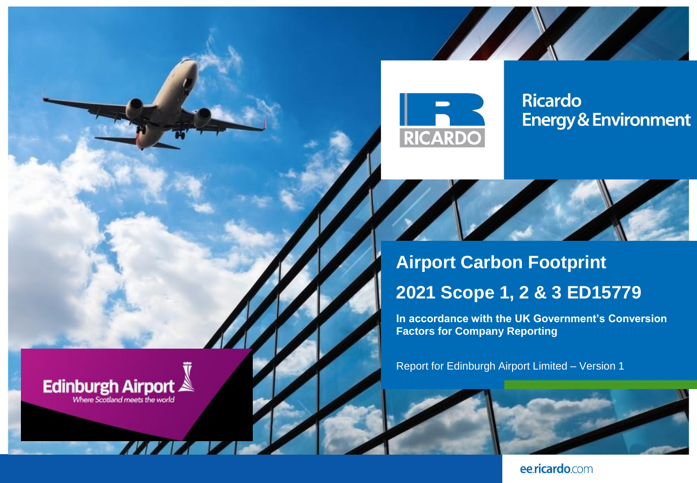

**Edinburgh Airport** Where Scotland meets the world

**Ricardo Energy & Environment** 



**Airport Carbon Footprint 2021 Scope 1, 2 & 3 ED15779**

**In accordance with the UK Government's Conversion Factors for Company Reporting**

Report for Edinburgh Airport Limited – Version 1



ee.ricardo.com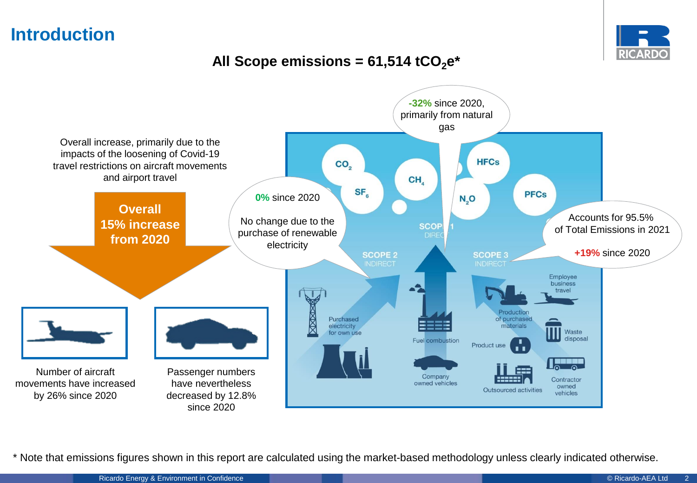# **Introduction**



### All Scope emissions =  $61,514$  tCO<sub>2</sub> $e^*$



\* Note that emissions figures shown in this report are calculated using the market-based methodology unless clearly indicated otherwise.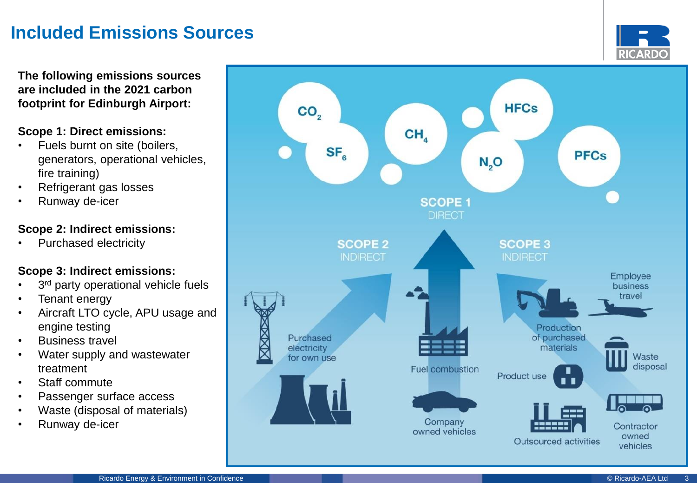# **Included Emissions Sources**

**RICARDO** 

**The following emissions sources are included in the 2021 carbon footprint for Edinburgh Airport:**

#### **Scope 1: Direct emissions:**

- Fuels burnt on site (boilers, generators, operational vehicles, fire training)
- Refrigerant gas losses
- Runway de-icer

#### **Scope 2: Indirect emissions:**

• Purchased electricity

### **Scope 3: Indirect emissions:**

- 3<sup>rd</sup> party operational vehicle fuels
- Tenant energy
- Aircraft LTO cycle, APU usage and engine testing
- Business travel
- Water supply and wastewater treatment
- Staff commute
- Passenger surface access
- Waste (disposal of materials)
- Runway de-icer

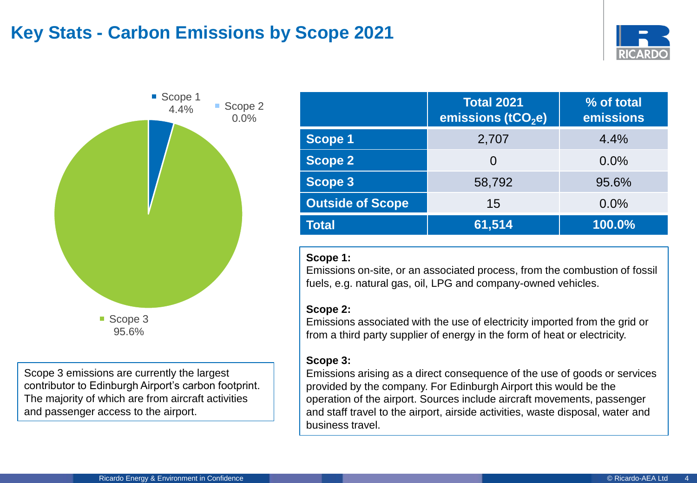# **Key Stats - Carbon Emissions by Scope 2021**





Scope 3 emissions are currently the largest contributor to Edinburgh Airport's carbon footprint. The majority of which are from aircraft activities and passenger access to the airport.

|                         | <b>Total 2021</b><br>emissions (tCO <sub>2</sub> e) | % of total<br>emissions |
|-------------------------|-----------------------------------------------------|-------------------------|
| <b>Scope 1</b>          | 2,707                                               | 4.4%                    |
| <b>Scope 2</b>          | 0                                                   | 0.0%                    |
| <b>Scope 3</b>          | 58,792                                              | 95.6%                   |
| <b>Outside of Scope</b> | 15                                                  | 0.0%                    |
| <b>Total</b>            | 61,514                                              | 100.0%                  |

#### **Scope 1:**

Emissions on-site, or an associated process, from the combustion of fossil fuels, e.g. natural gas, oil, LPG and company-owned vehicles.

#### **Scope 2:**

Emissions associated with the use of electricity imported from the grid or from a third party supplier of energy in the form of heat or electricity.

### **Scope 3:**

Emissions arising as a direct consequence of the use of goods or services provided by the company. For Edinburgh Airport this would be the operation of the airport. Sources include aircraft movements, passenger and staff travel to the airport, airside activities, waste disposal, water and business travel.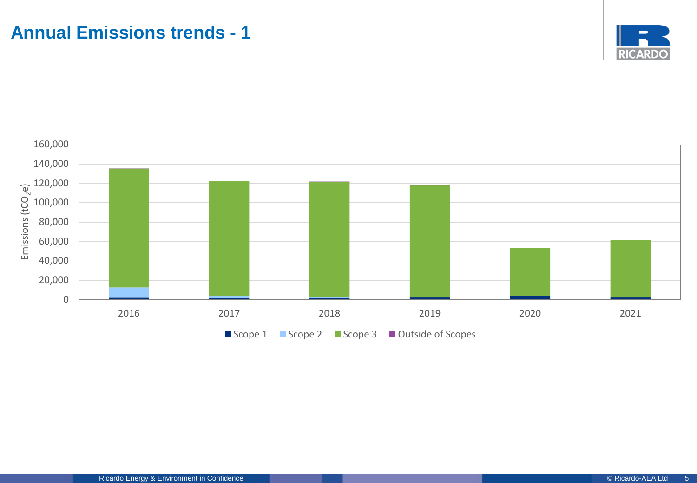

<span id="page-4-0"></span>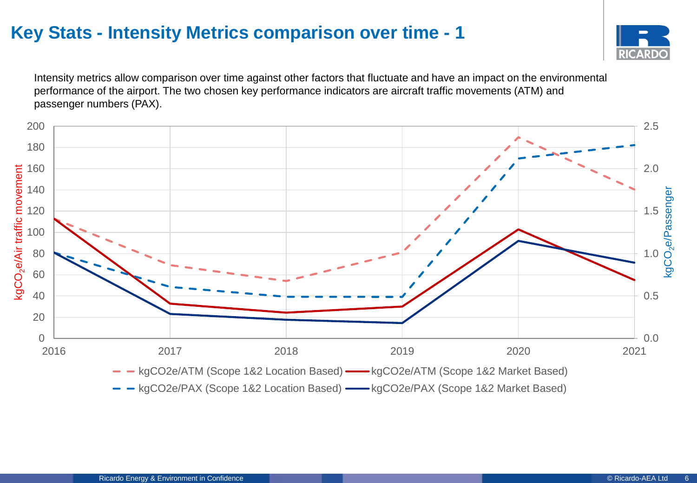# <span id="page-5-0"></span>**Key Stats - Intensity Metrics comparison over time - 1**



Intensity metrics allow comparison over time against other factors that fluctuate and have an impact on the environmental performance of the airport. The two chosen key performance indicators are aircraft traffic movements (ATM) and passenger numbers (PAX).

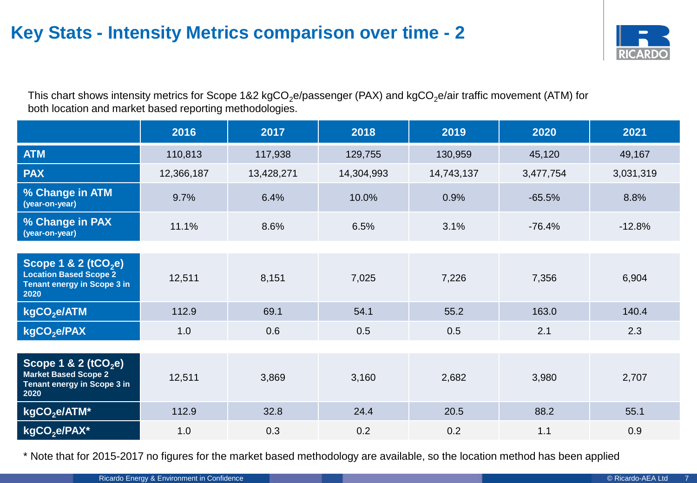# **Key Stats - Intensity Metrics comparison over time - 2**



This chart shows intensity metrics for Scope 1&2 kgCO<sub>2</sub>e/passenger (PAX) and kgCO<sub>2</sub>e/air traffic movement (ATM) for both location and market based reporting methodologies.

|                                                                                                 | 2016       | 2017       | 2018       | 2019       | 2020      | 2021      |
|-------------------------------------------------------------------------------------------------|------------|------------|------------|------------|-----------|-----------|
| <b>ATM</b>                                                                                      | 110,813    | 117,938    | 129,755    | 130,959    |           | 49,167    |
| <b>PAX</b>                                                                                      | 12,366,187 | 13,428,271 | 14,304,993 | 14,743,137 | 3,477,754 | 3,031,319 |
| % Change in ATM<br>(year-on-year)                                                               | 9.7%       | 6.4%       | 10.0%      | 0.9%       | $-65.5%$  | 8.8%      |
| % Change in PAX<br>(year-on-year)                                                               | 11.1%      | 8.6%       | 6.5%       | 3.1%       | $-76.4%$  | $-12.8%$  |
|                                                                                                 |            |            |            |            |           |           |
| Scope 1 & 2 ( $tCO2e$ )<br><b>Location Based Scope 2</b><br>Tenant energy in Scope 3 in<br>2020 | 12,511     | 8,151      | 7,025      | 7,226      | 7,356     | 6,904     |
| kgCO <sub>2</sub> e/ATM                                                                         | 112.9      | 69.1       | 54.1       | 55.2       |           | 140.4     |
| kgCO <sub>2</sub> e/PAX                                                                         | 1.0        | 0.6        | 0.5        | 0.5        | 2.1       | 2.3       |
|                                                                                                 |            |            |            |            |           |           |
| Scope 1 & 2 ( $tCO2e$ )<br><b>Market Based Scope 2</b><br>Tenant energy in Scope 3 in<br>2020   | 12,511     | 3,869      | 3,160      | 2,682      | 3,980     | 2,707     |
| kgCO <sub>2</sub> e/ATM*                                                                        | 112.9      | 32.8       | 24.4       | 20.5       | 88.2      | 55.1      |
| kgCO <sub>2</sub> e/PAX*                                                                        | 1.0        | 0.3        | 0.2        | 0.2        | 1.1       | 0.9       |

\* Note that for 2015-2017 no figures for the market based methodology are available, so the location method has been applied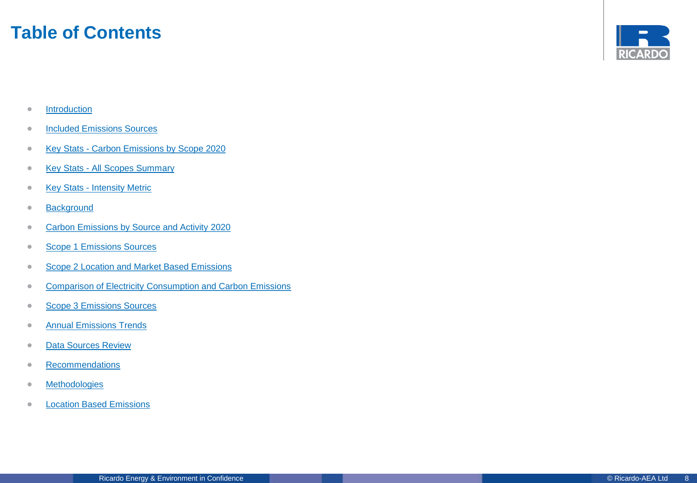### **Table of Contents**



- [Introduction](#page-4-0)
- **[Included Emissions Sources](#page-4-0)**
- Key Stats [Carbon Emissions by Scope 2020](#page-4-0)
- Key Stats [All Scopes Summary](#page-4-0)
- Key Stats [Intensity Metric](#page-5-0)
- [Background](#page-13-0)
- [Carbon Emissions by Source and Activity 2020](#page-14-0)
- [Scope 1 Emissions Sources](#page-9-0)
- [Scope 2 Location and Market Based Emissions](#page-10-0)
- [Comparison of Electricity Consumption and Carbon Emissions](#page-11-0)
- [Scope 3 Emissions Sources](#page-12-0)
- **[Annual Emissions Trends](#page-15-0)**
- [Data Sources Review](#page-20-0)
- [Recommendations](#page-20-0)
- [Methodologies](#page-21-0)
- [Location Based Emissions](#page-27-0)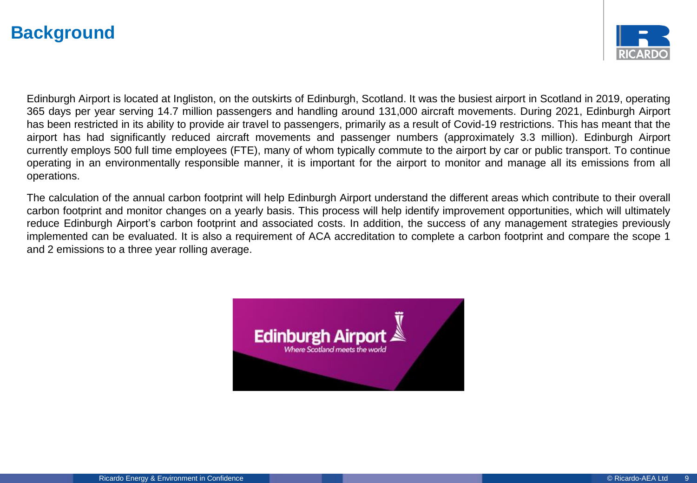# **Background**



Edinburgh Airport is located at Ingliston, on the outskirts of Edinburgh, Scotland. It was the busiest airport in Scotland in 2019, operating 365 days per year serving 14.7 million passengers and handling around 131,000 aircraft movements. During 2021, Edinburgh Airport has been restricted in its ability to provide air travel to passengers, primarily as a result of Covid-19 restrictions. This has meant that the airport has had significantly reduced aircraft movements and passenger numbers (approximately 3.3 million). Edinburgh Airport currently employs 500 full time employees (FTE), many of whom typically commute to the airport by car or public transport. To continue operating in an environmentally responsible manner, it is important for the airport to monitor and manage all its emissions from all operations.

The calculation of the annual carbon footprint will help Edinburgh Airport understand the different areas which contribute to their overall carbon footprint and monitor changes on a yearly basis. This process will help identify improvement opportunities, which will ultimately reduce Edinburgh Airport's carbon footprint and associated costs. In addition, the success of any management strategies previously implemented can be evaluated. It is also a requirement of ACA accreditation to complete a carbon footprint and compare the scope 1 and 2 emissions to a three year rolling average.

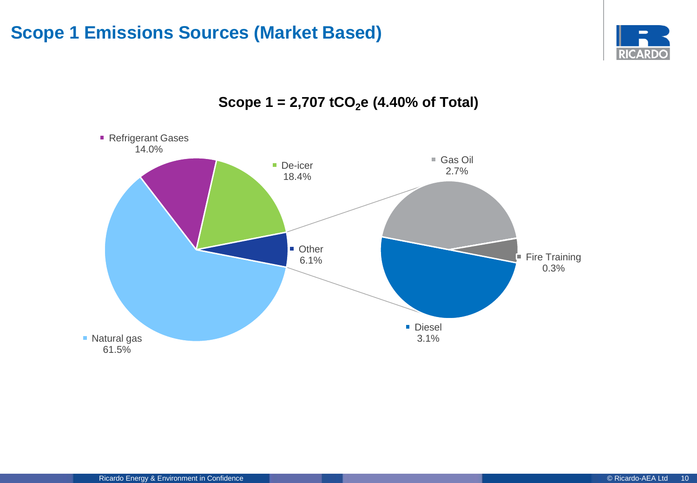# <span id="page-9-0"></span>**Scope 1 Emissions Sources (Market Based)**





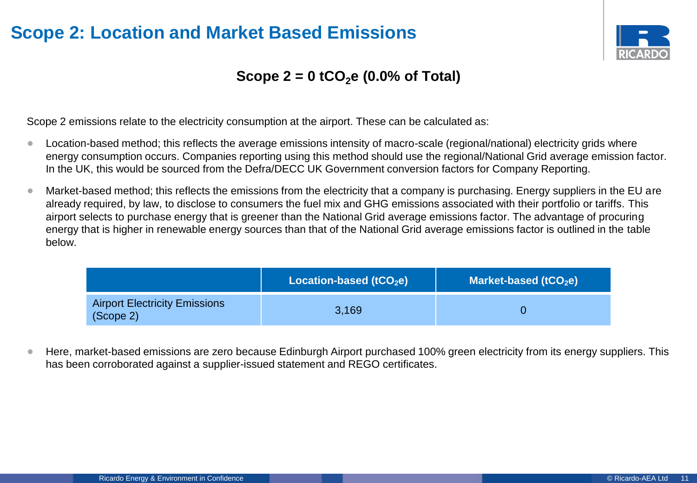# <span id="page-10-0"></span>**Scope 2: Location and Market Based Emissions**



### **Scope 2 = 0 tCO2e (0.0% of Total)**

Scope 2 emissions relate to the electricity consumption at the airport. These can be calculated as:

- Location-based method; this reflects the average emissions intensity of macro-scale (regional/national) electricity grids where energy consumption occurs. Companies reporting using this method should use the regional/National Grid average emission factor. In the UK, this would be sourced from the Defra/DECC UK Government conversion factors for Company Reporting.
- Market-based method; this reflects the emissions from the electricity that a company is purchasing. Energy suppliers in the EU are already required, by law, to disclose to consumers the fuel mix and GHG emissions associated with their portfolio or tariffs. This airport selects to purchase energy that is greener than the National Grid average emissions factor. The advantage of procuring energy that is higher in renewable energy sources than that of the National Grid average emissions factor is outlined in the table below.

|                                                   | Location-based (tCO <sub>2</sub> e) | Market-based ( $tCO2e$ ) |
|---------------------------------------------------|-------------------------------------|--------------------------|
| <b>Airport Electricity Emissions</b><br>(Scope 2) | 3,169                               |                          |

• Here, market-based emissions are zero because Edinburgh Airport purchased 100% green electricity from its energy suppliers. This has been corroborated against a supplier-issued statement and REGO certificates.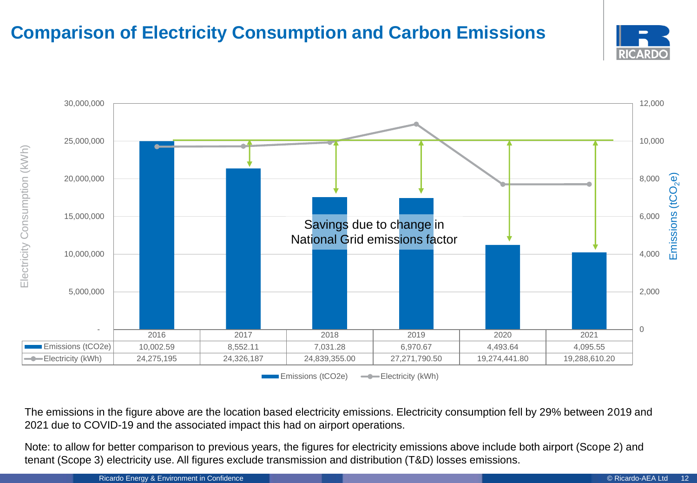# <span id="page-11-0"></span>**Comparison of Electricity Consumption and Carbon Emissions**





**Emissions (tCO2e) -Conductrial** Electricity (kWh)

The emissions in the figure above are the location based electricity emissions. Electricity consumption fell by 29% between 2019 and 2021 due to COVID-19 and the associated impact this had on airport operations.

Note: to allow for better comparison to previous years, the figures for electricity emissions above include both airport (Scope 2) and tenant (Scope 3) electricity use. All figures exclude transmission and distribution (T&D) losses emissions.

Ricardo Energy & Environment in Confidence **Confidence Confidence** Confidence Confidence Confidence Confidence Confidence Confidence Confidence Confidence Confidence Confidence Confidence Confidence Confidence Confidence C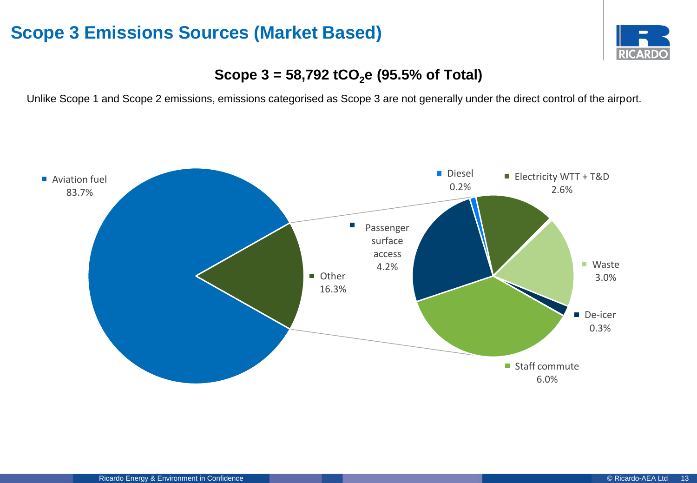### <span id="page-12-0"></span>**Scope 3 Emissions Sources (Market Based)**



### **Scope 3 = 58,792 tCO2e (95.5% of Total)**

Unlike Scope 1 and Scope 2 emissions, emissions categorised as Scope 3 are not generally under the direct control of the airport.

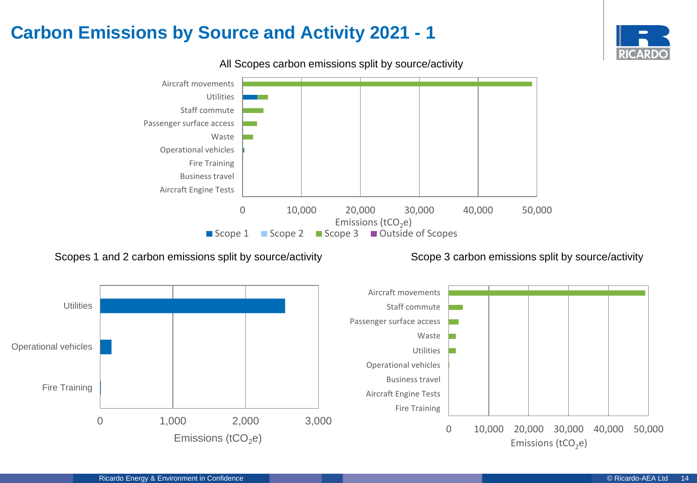# <span id="page-13-0"></span>**Carbon Emissions by Source and Activity 2021 - 1**





All Scopes carbon emissions split by source/activity

#### Scopes 1 and 2 carbon emissions split by source/activity Scope 3 carbon emissions split by source/activity

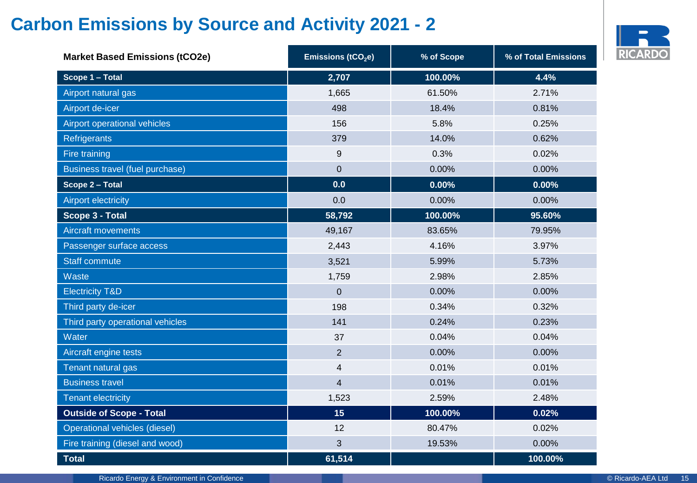# <span id="page-14-0"></span>**Carbon Emissions by Source and Activity 2021 - 2**



| <b>Market Based Emissions (tCO2e)</b> | Emissions (tCO <sub>2</sub> e) | % of Scope | % of Total Emissions |
|---------------------------------------|--------------------------------|------------|----------------------|
| Scope 1 - Total                       | 2,707                          | 100.00%    | 4.4%                 |
| Airport natural gas                   | 1,665                          | 61.50%     | 2.71%                |
| Airport de-icer                       | 498                            | 18.4%      | 0.81%                |
| Airport operational vehicles          | 156                            | 5.8%       | 0.25%                |
| Refrigerants                          | 379                            | 14.0%      | 0.62%                |
| Fire training                         | 9                              | 0.3%       | 0.02%                |
| Business travel (fuel purchase)       | $\mathbf 0$                    | 0.00%      | 0.00%                |
| Scope 2 - Total                       | 0.0                            | 0.00%      | 0.00%                |
| <b>Airport electricity</b>            | 0.0                            | 0.00%      | 0.00%                |
| Scope 3 - Total                       | 58,792                         | 100.00%    | 95.60%               |
| <b>Aircraft movements</b>             | 49,167                         | 83.65%     | 79.95%               |
| Passenger surface access              | 2,443                          | 4.16%      | 3.97%                |
| <b>Staff commute</b>                  | 3,521                          | 5.99%      | 5.73%                |
| Waste                                 | 1,759                          | 2.98%      | 2.85%                |
| <b>Electricity T&amp;D</b>            | $\mathbf 0$                    | 0.00%      | 0.00%                |
| Third party de-icer                   | 198                            | 0.34%      | 0.32%                |
| Third party operational vehicles      | 141                            | 0.24%      | 0.23%                |
| Water                                 | 37                             | 0.04%      | 0.04%                |
| Aircraft engine tests                 | $\overline{2}$                 | 0.00%      | 0.00%                |
| Tenant natural gas                    | 4                              | 0.01%      | 0.01%                |
| <b>Business travel</b>                | $\overline{\mathbf{4}}$        | 0.01%      | 0.01%                |
| <b>Tenant electricity</b>             | 1,523                          | 2.59%      | 2.48%                |
| <b>Outside of Scope - Total</b>       | 15                             | 100.00%    | 0.02%                |
| Operational vehicles (diesel)         | 12                             | 80.47%     | 0.02%                |
| Fire training (diesel and wood)       | 3                              | 19.53%     | 0.00%                |
| <b>Total</b>                          | 61,514                         |            | 100.00%              |

Ricardo Energy & Environment in Confidence © Ricardo-AEA Ltd 15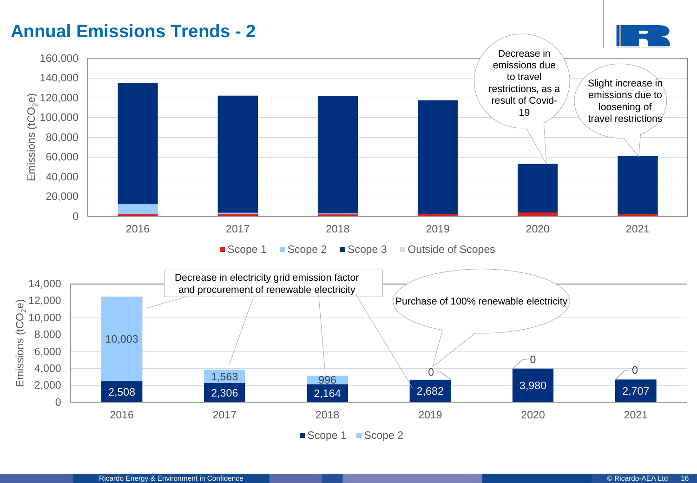<span id="page-15-0"></span>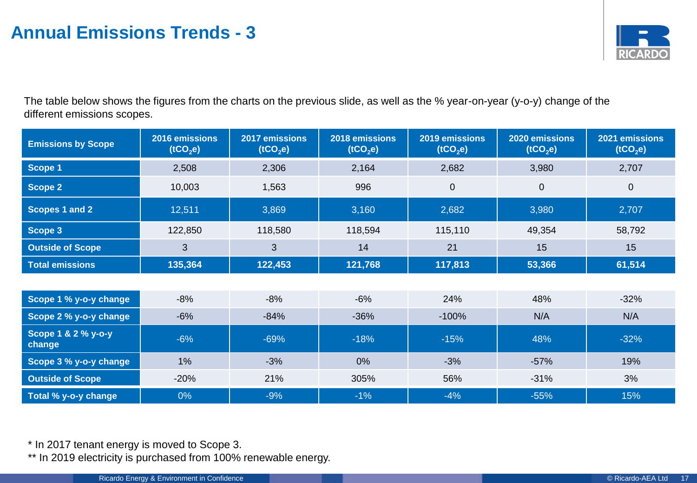

The table below shows the figures from the charts on the previous slide, as well as the % year-on-year (y-o-y) change of the different emissions scopes.

| <b>Emissions by Scope</b>     | 2016 emissions<br>(tCO <sub>2</sub> e) | 2017 emissions<br>(tCO <sub>2</sub> e) | 2018 emissions<br>(tCO <sub>2</sub> e) | 2019 emissions<br>(tCO <sub>2</sub> e) | 2020 emissions<br>(tCO <sub>2</sub> e) | 2021 emissions<br>(tCO <sub>2</sub> e) |
|-------------------------------|----------------------------------------|----------------------------------------|----------------------------------------|----------------------------------------|----------------------------------------|----------------------------------------|
| Scope 1                       | 2,508                                  | 2,306                                  | 2,164                                  | 2,682                                  | 3,980                                  | 2,707                                  |
| <b>Scope 2</b>                | 10,003                                 | 1,563                                  | 996                                    | 0                                      | $\mathbf 0$                            | $\mathbf 0$                            |
| Scopes 1 and 2                | 12,511                                 | 3,869                                  | 3,160                                  | 2,682                                  | 3,980                                  | 2,707                                  |
| Scope 3                       | 122,850                                | 118,580                                | 118,594                                | 115,110                                | 49,354                                 | 58,792                                 |
| <b>Outside of Scope</b>       | 3                                      | 3                                      | 14                                     | 21                                     | 15                                     | 15                                     |
| <b>Total emissions</b>        | 135,364                                | 122,453                                | 121,768                                | 117,813                                | 53,366                                 | 61,514                                 |
|                               |                                        |                                        |                                        |                                        |                                        |                                        |
| Scope 1 % y-o-y change        | $-8%$                                  | $-8%$                                  | $-6%$                                  | 24%                                    | 48%                                    | $-32%$                                 |
| Scope 2 % y-o-y change        | $-6%$                                  | $-84%$                                 | $-36%$                                 | $-100%$                                | N/A                                    | N/A                                    |
| Scope 1 & 2 % y-o-y<br>change | $-6%$                                  | $-69%$                                 | $-18%$                                 | 48%<br>$-15%$                          |                                        | $-32%$                                 |
| Scope 3 % y-o-y change        | 1%                                     | $-3%$                                  | 0%                                     | $-3%$                                  | $-57%$                                 | 19%                                    |
| <b>Outside of Scope</b>       | $-20%$                                 | 21%                                    | 305%                                   | 56%                                    | $-31%$                                 | 3%                                     |
| Total % y-o-y change          | 0%                                     | $-9%$                                  | $-1%$                                  | $-4%$                                  | $-55%$                                 | 15%                                    |

\* In 2017 tenant energy is moved to Scope 3.

\*\* In 2019 electricity is purchased from 100% renewable energy.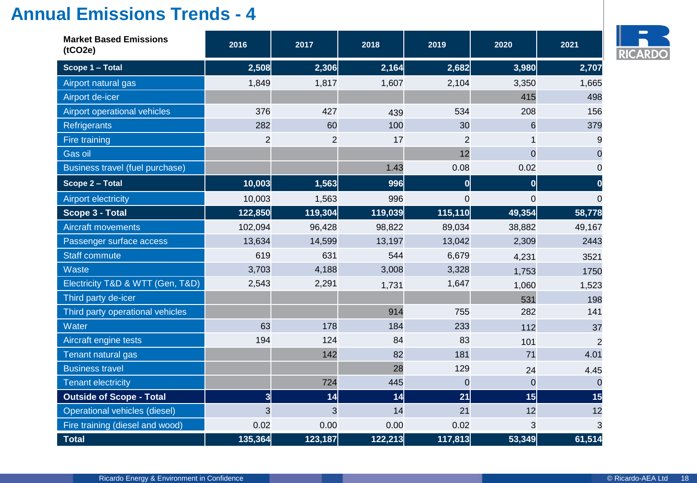| <b>Market Based Emissions</b><br>(tCO2e) | 2016                    | 2017           | 2018    | 2019           | 2020           | 2021           |
|------------------------------------------|-------------------------|----------------|---------|----------------|----------------|----------------|
| Scope 1 - Total                          | 2,508                   | 2,306          | 2,164   | 2,682          | 3,980          | 2,707          |
| Airport natural gas                      | 1,849                   | 1,817          | 1,607   | 2,104          | 3,350          | 1,665          |
| Airport de-icer                          |                         |                |         |                | 415            | 498            |
| Airport operational vehicles             | 376                     | 427            | 439     | 534            | 208            | 156            |
| Refrigerants                             | 282                     | 60             | 100     | 30             | 6              | 379            |
| Fire training                            | $\overline{2}$          | $\overline{2}$ | 17      | $\overline{2}$ |                | 9              |
| Gas oil                                  |                         |                |         | 12             | $\overline{0}$ | $\Omega$       |
| Business travel (fuel purchase)          |                         |                | 1.43    | 0.08           | 0.02           | $\Omega$       |
| Scope 2 - Total                          | 10,003                  | 1,563          | 996     | 0              | 0              |                |
| <b>Airport electricity</b>               | 10,003                  | 1,563          | 996     | $\mathbf 0$    | $\mathbf 0$    | $\Omega$       |
| <b>Scope 3 - Total</b>                   | 122,850                 | 119,304        | 119,039 | 115,110        | 49,354         | 58,778         |
| <b>Aircraft movements</b>                | 102,094                 | 96,428         | 98,822  | 89,034         | 38,882         | 49,167         |
| Passenger surface access                 | 13,634                  | 14,599         | 13,197  | 13,042         | 2,309          | 2443           |
| <b>Staff commute</b>                     | 619                     | 631            | 544     | 6,679          | 4,231          | 3521           |
| Waste                                    | 3,703                   | 4,188          | 3,008   | 3,328          | 1,753          | 1750           |
| Electricity T&D & WTT (Gen, T&D)         | 2,543                   | 2,291          | 1,731   | 1,647          | 1,060          | 1,523          |
| Third party de-icer                      |                         |                |         |                | 531            | 198            |
| Third party operational vehicles         |                         |                | 914     | 755            | 282            | 141            |
| Water                                    | 63                      | 178            | 184     | 233            | 112            | 37             |
| Aircraft engine tests                    | 194                     | 124            | 84      | 83             | 101            | $\overline{2}$ |
| Tenant natural gas                       |                         | 142            | 82      | 181            | 71             | 4.01           |
| <b>Business travel</b>                   |                         |                | 28      | 129            | 24             | 4.45           |
| <b>Tenant electricity</b>                |                         | 724            | 445     | $\overline{0}$ | $\overline{0}$ | $\Omega$       |
| <b>Outside of Scope - Total</b>          | $\overline{\mathbf{3}}$ | 14             | 14      | 21             | 15             | 15             |
| Operational vehicles (diesel)            | 3                       | 3              | 14      | 21             | 12             | 12             |
| Fire training (diesel and wood)          | 0.02                    | 0.00           | 0.00    | 0.02           | 3              | 3              |
| <b>Total</b>                             | 135,364                 | 123,187        | 122,213 | 117,813        | 53,349         | 61,514         |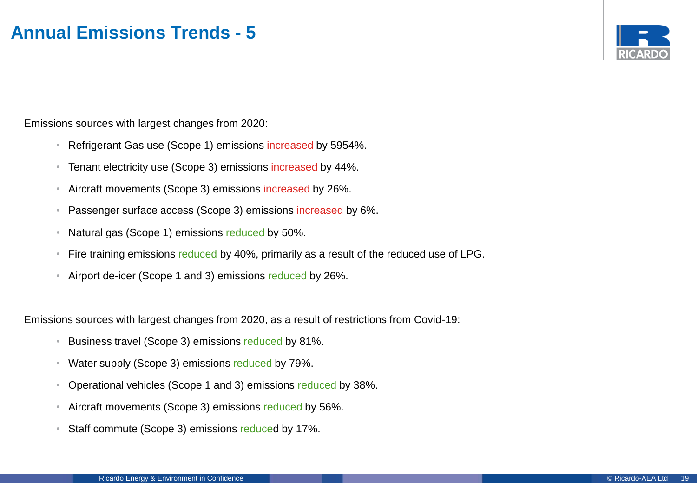

Emissions sources with largest changes from 2020:

- Refrigerant Gas use (Scope 1) emissions increased by 5954%.
- Tenant electricity use (Scope 3) emissions increased by 44%.
- Aircraft movements (Scope 3) emissions increased by 26%.
- Passenger surface access (Scope 3) emissions increased by 6%.
- Natural gas (Scope 1) emissions reduced by 50%.
- Fire training emissions reduced by 40%, primarily as a result of the reduced use of LPG.
- Airport de-icer (Scope 1 and 3) emissions reduced by 26%.

Emissions sources with largest changes from 2020, as a result of restrictions from Covid-19:

- Business travel (Scope 3) emissions reduced by 81%.
- Water supply (Scope 3) emissions reduced by 79%.
- Operational vehicles (Scope 1 and 3) emissions reduced by 38%.
- Aircraft movements (Scope 3) emissions reduced by 56%.
- Staff commute (Scope 3) emissions reduced by 17%.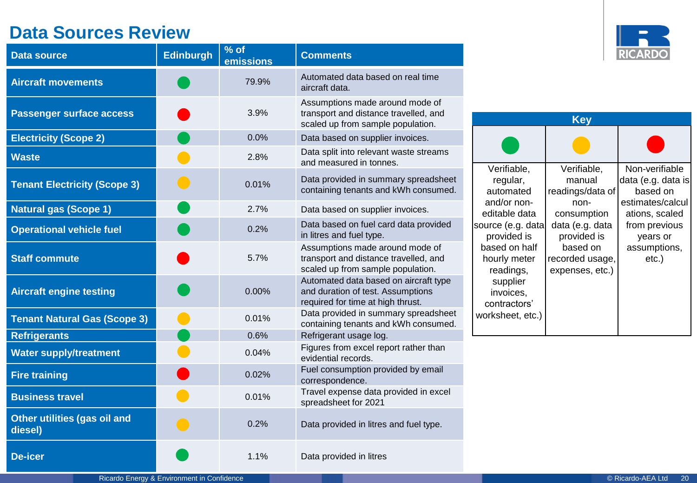# **Data Sources Review**

| <b>Data source</b>                      | <b>Edinburgh</b> | % of<br>emissions | <b>Comments</b>                                                                                                 |
|-----------------------------------------|------------------|-------------------|-----------------------------------------------------------------------------------------------------------------|
| <b>Aircraft movements</b>               |                  | 79.9%             | Automated data based on real time<br>aircraft data.                                                             |
| <b>Passenger surface access</b>         |                  | 3.9%              | Assumptions made around mode of<br>transport and distance travelled, and<br>scaled up from sample population.   |
| <b>Electricity (Scope 2)</b>            |                  | 0.0%              | Data based on supplier invoices.                                                                                |
| <b>Waste</b>                            |                  | 2.8%              | Data split into relevant waste streams<br>and measured in tonnes.                                               |
| <b>Tenant Electricity (Scope 3)</b>     |                  | 0.01%             | Data provided in summary spreadsheet<br>containing tenants and kWh consumed.                                    |
| <b>Natural gas (Scope 1)</b>            |                  | 2.7%              | Data based on supplier invoices.                                                                                |
| <b>Operational vehicle fuel</b>         |                  | 0.2%              | Data based on fuel card data provided<br>in litres and fuel type.                                               |
| <b>Staff commute</b>                    |                  | 5.7%              | Assumptions made around mode of<br>transport and distance travelled, and<br>scaled up from sample population.   |
| <b>Aircraft engine testing</b>          |                  | 0.00%             | Automated data based on aircraft type<br>and duration of test. Assumptions<br>required for time at high thrust. |
| <b>Tenant Natural Gas (Scope 3)</b>     |                  | 0.01%             | Data provided in summary spreadsheet<br>containing tenants and kWh consumed.                                    |
| <b>Refrigerants</b>                     |                  | 0.6%              | Refrigerant usage log.                                                                                          |
| <b>Water supply/treatment</b>           |                  | 0.04%             | Figures from excel report rather than<br>evidential records.                                                    |
| <b>Fire training</b>                    |                  | 0.02%             | Fuel consumption provided by email<br>correspondence.                                                           |
| <b>Business travel</b>                  |                  | 0.01%             | Travel expense data provided in excel<br>spreadsheet for 2021                                                   |
| Other utilities (gas oil and<br>diesel) |                  | 0.2%              | Data provided in litres and fuel type.                                                                          |
| De-icer                                 |                  | 1.1%              | Data provided in litres                                                                                         |



| Key                                                 |                                                   |                                                                      |  |  |  |  |
|-----------------------------------------------------|---------------------------------------------------|----------------------------------------------------------------------|--|--|--|--|
|                                                     |                                                   |                                                                      |  |  |  |  |
| Verifiable,<br>regular,<br>automated<br>and/or non- | Verifiable,<br>manual<br>readings/data of<br>non- | Non-verifiable<br>data (e.g. data is<br>based on<br>estimates/calcul |  |  |  |  |
| editable data<br>source (e.g. data<br>provided is   | consumption<br>data (e.g. data<br>provided is     | ations, scaled<br>from previous<br>years or                          |  |  |  |  |
| based on half<br>hourly meter<br>readings,          | based on<br>recorded usage,<br>expenses, etc.)    | assumptions,<br>$etc.$ )                                             |  |  |  |  |
| supplier<br>invoices,<br>contractors'               |                                                   |                                                                      |  |  |  |  |
| worksheet, etc.)                                    |                                                   |                                                                      |  |  |  |  |

Ricardo Energy & Environment in Confidence **Confidence Confidence** Confidence Confidence Confidence Confidence Confidence Confidence Confidence Confidence Confidence Confidence Confidence Confidence Confidence Confidence C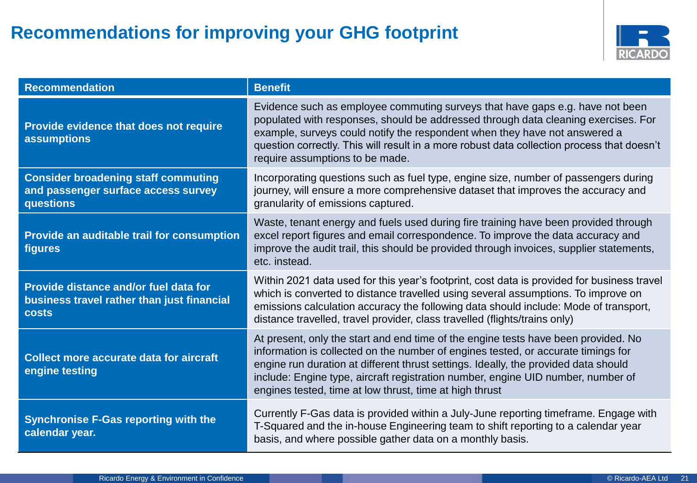# <span id="page-20-0"></span>**Recommendations for improving your GHG footprint**



| <b>Recommendation</b>                                                                               | <b>Benefit</b>                                                                                                                                                                                                                                                                                                                                                                                                |
|-----------------------------------------------------------------------------------------------------|---------------------------------------------------------------------------------------------------------------------------------------------------------------------------------------------------------------------------------------------------------------------------------------------------------------------------------------------------------------------------------------------------------------|
| Provide evidence that does not require<br><b>assumptions</b>                                        | Evidence such as employee commuting surveys that have gaps e.g. have not been<br>populated with responses, should be addressed through data cleaning exercises. For<br>example, surveys could notify the respondent when they have not answered a<br>question correctly. This will result in a more robust data collection process that doesn't<br>require assumptions to be made.                            |
| <b>Consider broadening staff commuting</b><br>and passenger surface access survey<br>questions      | Incorporating questions such as fuel type, engine size, number of passengers during<br>journey, will ensure a more comprehensive dataset that improves the accuracy and<br>granularity of emissions captured.                                                                                                                                                                                                 |
| Provide an auditable trail for consumption<br>figures                                               | Waste, tenant energy and fuels used during fire training have been provided through<br>excel report figures and email correspondence. To improve the data accuracy and<br>improve the audit trail, this should be provided through invoices, supplier statements,<br>etc. instead.                                                                                                                            |
| Provide distance and/or fuel data for<br>business travel rather than just financial<br><b>costs</b> | Within 2021 data used for this year's footprint, cost data is provided for business travel<br>which is converted to distance travelled using several assumptions. To improve on<br>emissions calculation accuracy the following data should include: Mode of transport,<br>distance travelled, travel provider, class travelled (flights/trains only)                                                         |
| <b>Collect more accurate data for aircraft</b><br>engine testing                                    | At present, only the start and end time of the engine tests have been provided. No<br>information is collected on the number of engines tested, or accurate timings for<br>engine run duration at different thrust settings. Ideally, the provided data should<br>include: Engine type, aircraft registration number, engine UID number, number of<br>engines tested, time at low thrust, time at high thrust |
| <b>Synchronise F-Gas reporting with the</b><br>calendar year.                                       | Currently F-Gas data is provided within a July-June reporting timeframe. Engage with<br>T-Squared and the in-house Engineering team to shift reporting to a calendar year<br>basis, and where possible gather data on a monthly basis.                                                                                                                                                                        |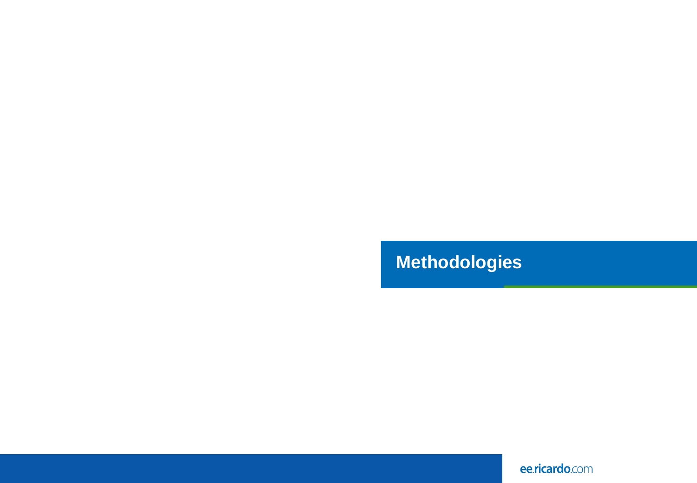# <span id="page-21-0"></span>**Methodologies**

ee.ricardo.com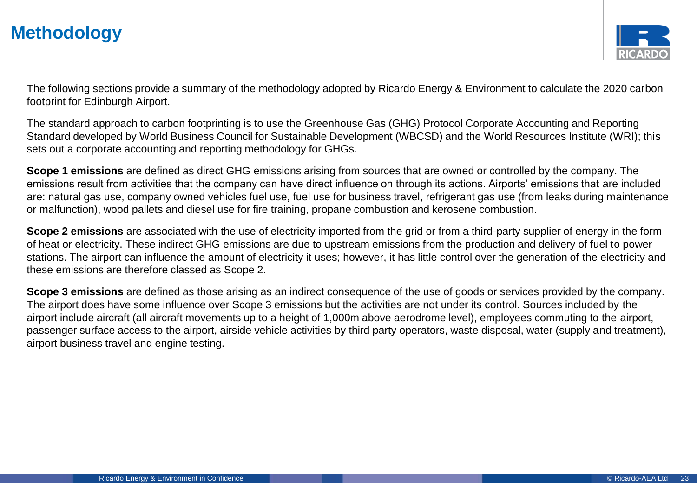

The following sections provide a summary of the methodology adopted by Ricardo Energy & Environment to calculate the 2020 carbon footprint for Edinburgh Airport.

The standard approach to carbon footprinting is to use the Greenhouse Gas (GHG) Protocol Corporate Accounting and Reporting Standard developed by World Business Council for Sustainable Development (WBCSD) and the World Resources Institute (WRI); this sets out a corporate accounting and reporting methodology for GHGs.

**Scope 1 emissions** are defined as direct GHG emissions arising from sources that are owned or controlled by the company. The emissions result from activities that the company can have direct influence on through its actions. Airports' emissions that are included are: natural gas use, company owned vehicles fuel use, fuel use for business travel, refrigerant gas use (from leaks during maintenance or malfunction), wood pallets and diesel use for fire training, propane combustion and kerosene combustion.

**Scope 2 emissions** are associated with the use of electricity imported from the grid or from a third-party supplier of energy in the form of heat or electricity. These indirect GHG emissions are due to upstream emissions from the production and delivery of fuel to power stations. The airport can influence the amount of electricity it uses; however, it has little control over the generation of the electricity and these emissions are therefore classed as Scope 2.

**Scope 3 emissions** are defined as those arising as an indirect consequence of the use of goods or services provided by the company. The airport does have some influence over Scope 3 emissions but the activities are not under its control. Sources included by the airport include aircraft (all aircraft movements up to a height of 1,000m above aerodrome level), employees commuting to the airport, passenger surface access to the airport, airside vehicle activities by third party operators, waste disposal, water (supply and treatment), airport business travel and engine testing.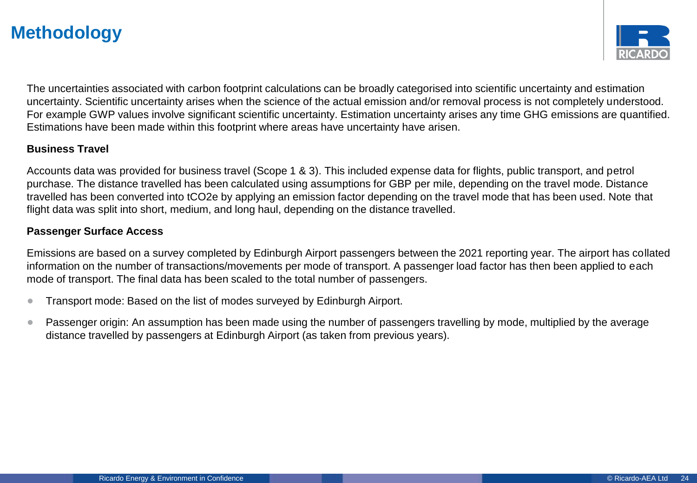

The uncertainties associated with carbon footprint calculations can be broadly categorised into scientific uncertainty and estimation uncertainty. Scientific uncertainty arises when the science of the actual emission and/or removal process is not completely understood. For example GWP values involve significant scientific uncertainty. Estimation uncertainty arises any time GHG emissions are quantified. Estimations have been made within this footprint where areas have uncertainty have arisen.

#### **Business Travel**

Accounts data was provided for business travel (Scope 1 & 3). This included expense data for flights, public transport, and petrol purchase. The distance travelled has been calculated using assumptions for GBP per mile, depending on the travel mode. Distance travelled has been converted into tCO2e by applying an emission factor depending on the travel mode that has been used. Note that flight data was split into short, medium, and long haul, depending on the distance travelled.

#### **Passenger Surface Access**

Emissions are based on a survey completed by Edinburgh Airport passengers between the 2021 reporting year. The airport has collated information on the number of transactions/movements per mode of transport. A passenger load factor has then been applied to each mode of transport. The final data has been scaled to the total number of passengers.

- Transport mode: Based on the list of modes surveyed by Edinburgh Airport.
- Passenger origin: An assumption has been made using the number of passengers travelling by mode, multiplied by the average distance travelled by passengers at Edinburgh Airport (as taken from previous years).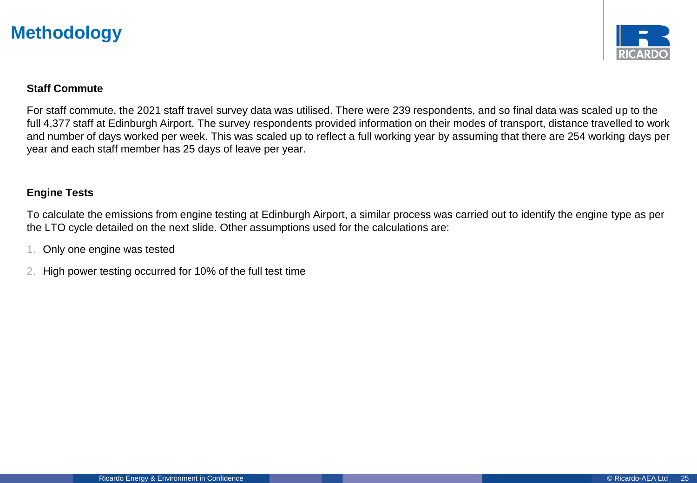

#### **Staff Commute**

For staff commute, the 2021 staff travel survey data was utilised. There were 239 respondents, and so final data was scaled up to the full 4,377 staff at Edinburgh Airport. The survey respondents provided information on their modes of transport, distance travelled to work and number of days worked per week. This was scaled up to reflect a full working year by assuming that there are 254 working days per year and each staff member has 25 days of leave per year.

#### **Engine Tests**

To calculate the emissions from engine testing at Edinburgh Airport, a similar process was carried out to identify the engine type as per the LTO cycle detailed on the next slide. Other assumptions used for the calculations are:

- 1. Only one engine was tested
- 2. High power testing occurred for 10% of the full test time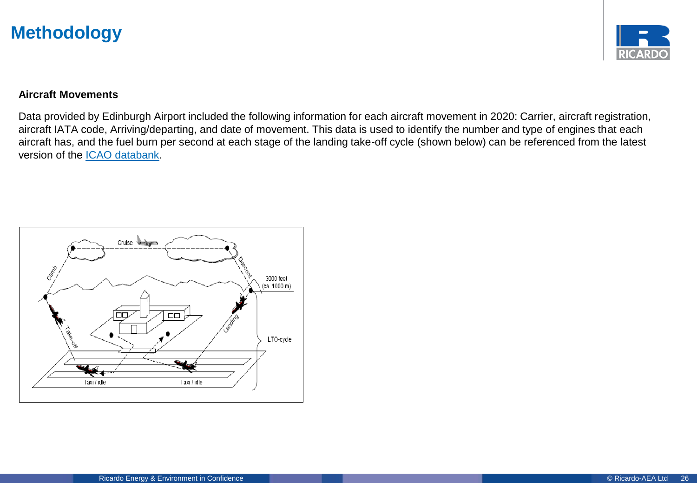

#### **Aircraft Movements**

Data provided by Edinburgh Airport included the following information for each aircraft movement in 2020: Carrier, aircraft registration, aircraft IATA code, Arriving/departing, and date of movement. This data is used to identify the number and type of engines that each aircraft has, and the fuel burn per second at each stage of the landing take-off cycle (shown below) can be referenced from the latest version of the [ICAO databank](https://www.easa.europa.eu/domains/environment/icao-aircraft-engine-emissions-databank).

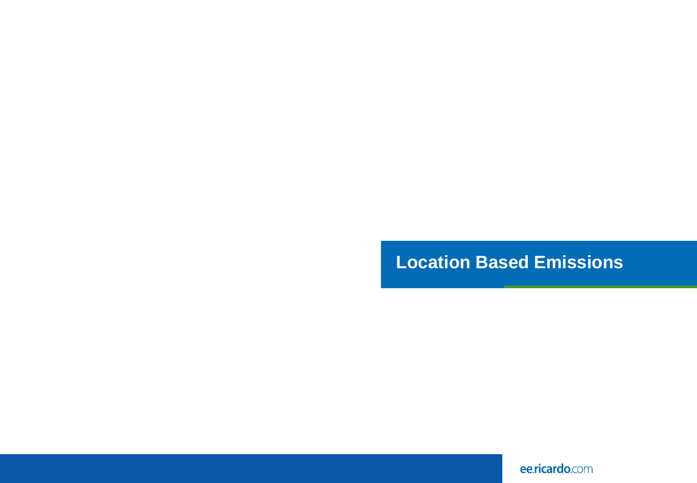# **Location Based Emissions**

ee.ricardo.com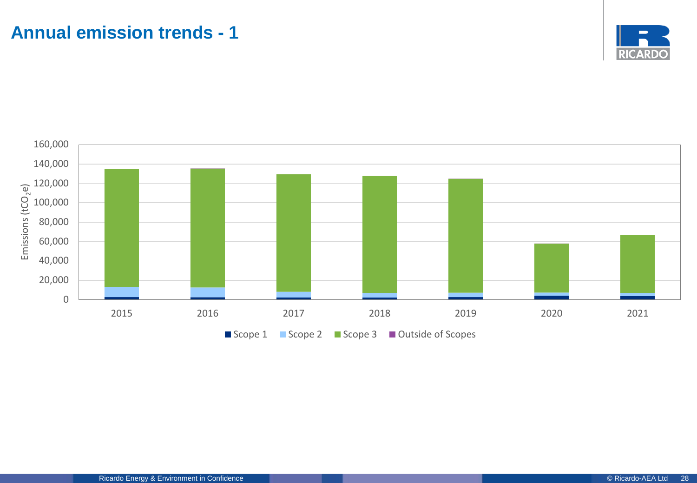# <span id="page-27-0"></span>**Annual emission trends - 1**



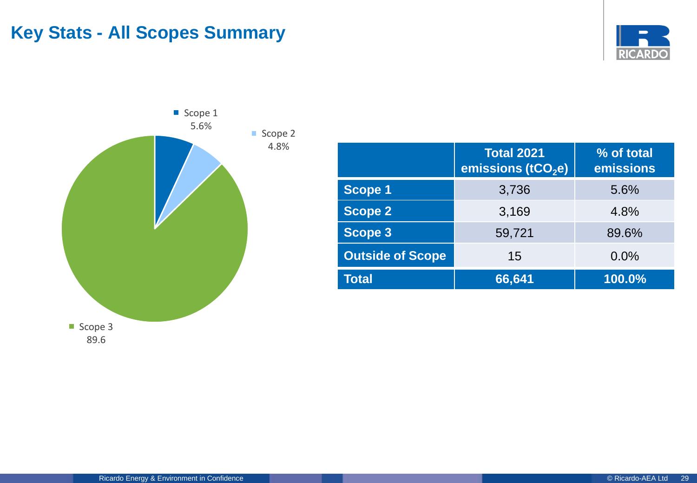# **Key Stats - All Scopes Summary**





|                         | <b>Total 2021</b><br>emissions (tCO <sub>2</sub> e) | % of total<br>emissions |
|-------------------------|-----------------------------------------------------|-------------------------|
| <b>Scope 1</b>          | 3,736                                               | 5.6%                    |
| <b>Scope 2</b>          | 3,169                                               | 4.8%                    |
| <b>Scope 3</b>          | 59,721                                              | 89.6%                   |
| <b>Outside of Scope</b> | 15                                                  | 0.0%                    |
| <b>Total</b>            | 66,641                                              | $100.0\%$               |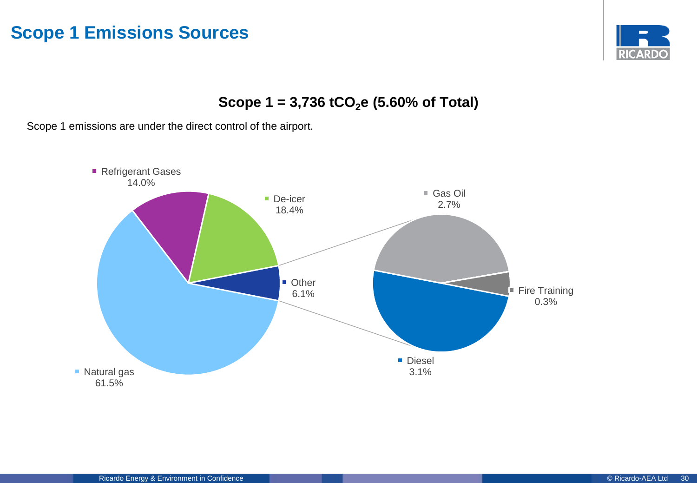### **Scope 1 Emissions Sources**



**Scope 1 = 3,736 tCO2e (5.60% of Total)**

Scope 1 emissions are under the direct control of the airport.

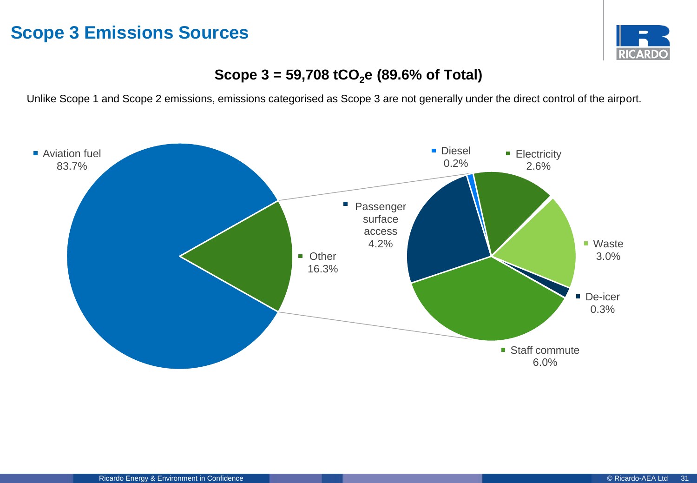### **Scope 3 Emissions Sources**



### **Scope 3 = 59,708 tCO2e (89.6% of Total)**

Unlike Scope 1 and Scope 2 emissions, emissions categorised as Scope 3 are not generally under the direct control of the airport.

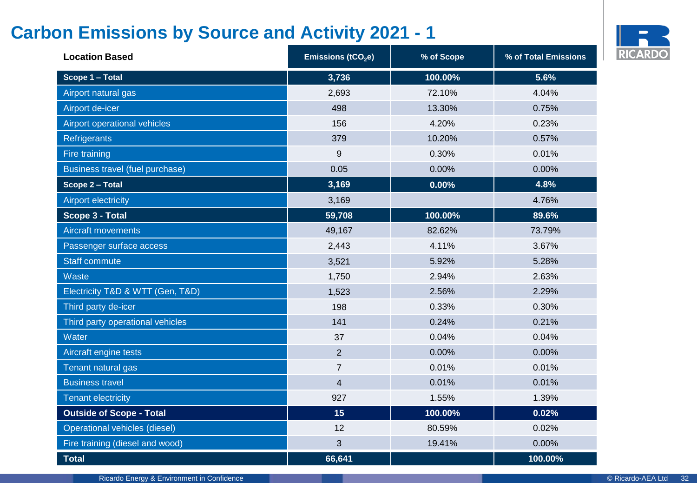# **Carbon Emissions by Source and Activity 2021 - 1**



| <b>Location Based</b>            | Emissions (tCO <sub>2</sub> e) | % of Scope | % of Total Emissions |
|----------------------------------|--------------------------------|------------|----------------------|
| Scope 1 - Total                  | 3,736                          | 100.00%    | 5.6%                 |
| Airport natural gas              | 2,693                          | 72.10%     | 4.04%                |
| Airport de-icer                  | 498                            | 13.30%     | 0.75%                |
| Airport operational vehicles     | 156                            | 4.20%      | 0.23%                |
| Refrigerants                     | 379                            | 10.20%     | 0.57%                |
| Fire training                    | 9                              | 0.30%      | 0.01%                |
| Business travel (fuel purchase)  | 0.05                           | 0.00%      | 0.00%                |
| Scope 2 - Total                  | 3,169                          | 0.00%      | 4.8%                 |
| <b>Airport electricity</b>       | 3,169                          |            | 4.76%                |
| Scope 3 - Total                  | 59,708                         | 100.00%    | 89.6%                |
| <b>Aircraft movements</b>        | 49,167                         | 82.62%     | 73.79%               |
| Passenger surface access         | 2,443                          | 4.11%      | 3.67%                |
| <b>Staff commute</b>             | 3,521                          | 5.92%      | 5.28%                |
| Waste                            | 1,750                          | 2.94%      | 2.63%                |
| Electricity T&D & WTT (Gen, T&D) | 1,523                          | 2.56%      | 2.29%                |
| Third party de-icer              | 198                            | 0.33%      | 0.30%                |
| Third party operational vehicles | 141                            | 0.24%      | 0.21%                |
| Water                            | 37                             | 0.04%      | 0.04%                |
| Aircraft engine tests            | 2                              | 0.00%      | 0.00%                |
| Tenant natural gas               | $\overline{7}$                 | 0.01%      | 0.01%                |
| <b>Business travel</b>           | $\overline{\mathbf{4}}$        | 0.01%      | 0.01%                |
| <b>Tenant electricity</b>        | 927                            | 1.55%      | 1.39%                |
| <b>Outside of Scope - Total</b>  | 15                             | 100.00%    | 0.02%                |
| Operational vehicles (diesel)    | 12                             | 80.59%     | 0.02%                |
| Fire training (diesel and wood)  | 3                              | 19.41%     | 0.00%                |
| <b>Total</b>                     | 66,641                         |            | 100.00%              |

Ricardo Energy & Environment in Confidence **Confidence Confidence** Confidence Confidence Confidence Confidence Confidence Confidence Confidence Confidence Confidence Confidence Confidence Confidence Confidence Confidence C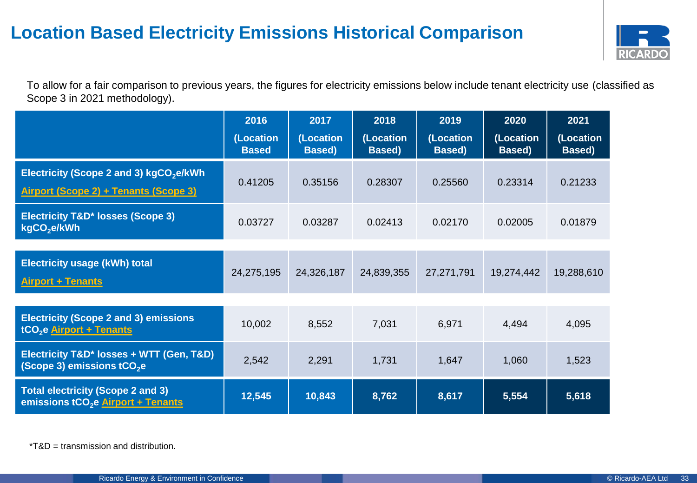# **Location Based Electricity Emissions Historical Comparison**



To allow for a fair comparison to previous years, the figures for electricity emissions below include tenant electricity use (classified as Scope 3 in 2021 methodology).

|                                                                                              | 2016<br>(Location<br><b>Based</b> | 2017<br>(Location         | 2018<br>(Location         | 2019<br>(Location | 2020<br>(Location | 2021<br>(Location |
|----------------------------------------------------------------------------------------------|-----------------------------------|---------------------------|---------------------------|-------------------|-------------------|-------------------|
| Electricity (Scope 2 and 3) kgCO <sub>2</sub> e/kWh<br>Airport (Scope 2) + Tenants (Scope 3) | 0.41205                           | <b>Based</b> )<br>0.35156 | <b>Based</b> )<br>0.28307 | Based)<br>0.25560 | Based)<br>0.23314 | Based)<br>0.21233 |
| <b>Electricity T&amp;D* losses (Scope 3)</b><br>kgCO <sub>2</sub> e/kWh                      | 0.03727                           | 0.03287                   | 0.02413                   | 0.02170           | 0.02005           | 0.01879           |
| <b>Electricity usage (kWh) total</b><br><b>Airport + Tenants</b>                             | 24,275,195                        | 24,326,187                | 24,839,355                | 27,271,791        | 19,274,442        | 19,288,610        |
| <b>Electricity (Scope 2 and 3) emissions</b><br>tCO <sub>2</sub> e Airport + Tenants         | 10,002                            | 8,552                     | 7,031                     | 6,971             | 4,494             | 4,095             |
| Electricity T&D* losses + WTT (Gen, T&D)<br>(Scope 3) emissions tCO <sub>2</sub> e           | 2,542                             | 2,291                     | 1,731                     | 1,647             | 1,060             | 1,523             |
| <b>Total electricity (Scope 2 and 3)</b><br>emissions tCO <sub>2</sub> e Airport + Tenants   | 12,545                            | 10,843                    | 8,762                     | 8,617             | 5,554             | 5,618             |

\*T&D = transmission and distribution.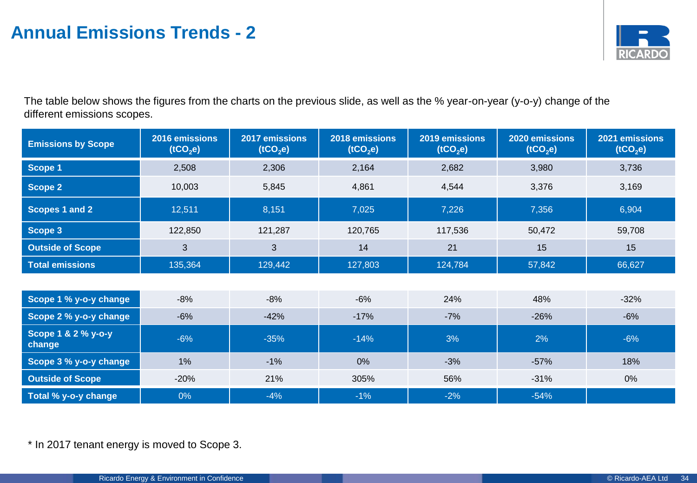

The table below shows the figures from the charts on the previous slide, as well as the % year-on-year (y-o-y) change of the different emissions scopes.

| <b>Emissions by Scope</b>     | 2016 emissions<br>(tCO <sub>2</sub> e) | 2017 emissions<br>(tCO <sub>2</sub> e) | 2018 emissions<br>(tCO <sub>2</sub> e) | 2019 emissions<br>(tCO <sub>2</sub> e) | 2020 emissions<br>(tCO <sub>2</sub> e) | 2021 emissions<br>(tCO <sub>2</sub> e) |
|-------------------------------|----------------------------------------|----------------------------------------|----------------------------------------|----------------------------------------|----------------------------------------|----------------------------------------|
| Scope 1                       | 2,508                                  | 2,306                                  | 2,164                                  | 2,682                                  | 3,980                                  | 3,736                                  |
| <b>Scope 2</b>                | 10,003                                 | 5,845                                  | 4,861                                  | 4,544                                  | 3,376                                  | 3,169                                  |
| Scopes 1 and 2                | 12,511                                 | 8,151                                  | 7,025                                  | 7,226                                  | 7,356                                  | 6,904                                  |
| Scope 3                       | 122,850                                | 121,287                                | 120,765                                | 117,536                                | 50,472                                 | 59,708                                 |
| <b>Outside of Scope</b>       | $\mathfrak{B}$                         | 3                                      | 14                                     | 21                                     | 15                                     | 15                                     |
| <b>Total emissions</b>        | 135,364                                | 129,442                                | 127,803                                | 124,784                                | 57,842                                 | 66,627                                 |
|                               |                                        |                                        |                                        |                                        |                                        |                                        |
| Scope 1 % y-o-y change        | $-8%$                                  | $-8%$                                  | $-6%$                                  | 24%                                    | 48%                                    | $-32%$                                 |
| Scope 2 % y-o-y change        | $-6%$                                  | $-42%$                                 | $-17%$                                 | $-7%$                                  | $-26%$                                 | $-6%$                                  |
| Scope 1 & 2 % y-o-y<br>change | $-6%$                                  | $-35%$                                 | $-14%$                                 | 3%                                     | 2%                                     | $-6%$                                  |
| Scope 3 % y-o-y change        | 1%                                     | $-1%$                                  | 0%                                     | $-3%$                                  | $-57%$                                 | 18%                                    |
| <b>Outside of Scope</b>       | $-20%$                                 | 21%                                    | 305%                                   | 56%                                    | $-31%$                                 | 0%                                     |
| Total % y-o-y change          | $0\%$                                  | $-4%$                                  | $-1%$                                  | $-2%$                                  | $-54%$                                 |                                        |

\* In 2017 tenant energy is moved to Scope 3.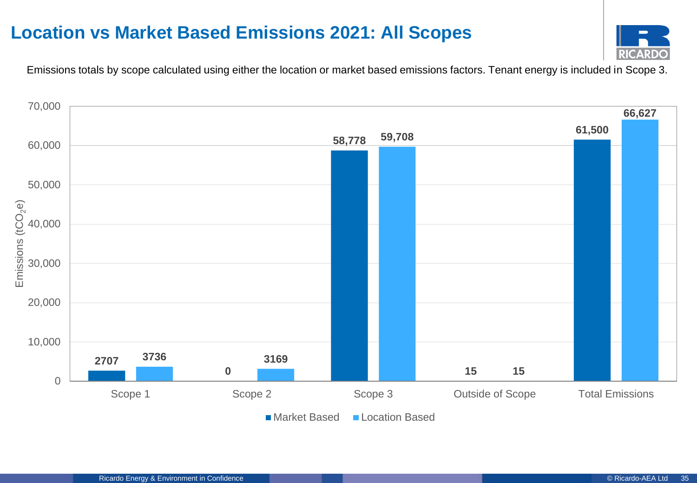# **Location vs Market Based Emissions 2021: All Scopes**



Emissions totals by scope calculated using either the location or market based emissions factors. Tenant energy is included in Scope 3.

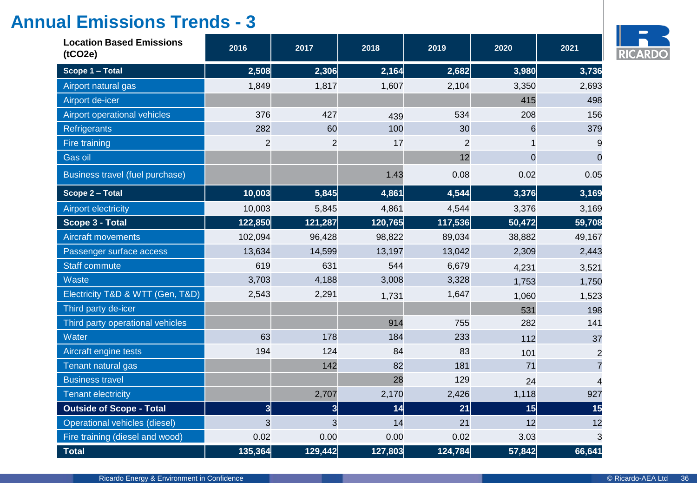| <b>Location Based Emissions</b><br>(tCO2e) | 2016                    | 2017                    | 2018    | 2019           | 2020           | 2021           |
|--------------------------------------------|-------------------------|-------------------------|---------|----------------|----------------|----------------|
| Scope 1 - Total                            | 2,508                   | 2,306                   | 2,164   | 2,682          | 3,980          | 3,736          |
| Airport natural gas                        | 1,849                   | 1,817                   | 1,607   | 2,104          | 3,350          | 2,693          |
| Airport de-icer                            |                         |                         |         |                | 415            | 498            |
| Airport operational vehicles               | 376                     | 427                     | 439     | 534            | 208            | 156            |
| Refrigerants                               | 282                     | 60                      | 100     | 30             | 6              | 379            |
| Fire training                              | $\overline{c}$          | $\overline{2}$          | 17      | $\overline{c}$ | 1              | 9              |
| Gas oil                                    |                         |                         |         | 12             | $\overline{0}$ | $\Omega$       |
| Business travel (fuel purchase)            |                         |                         | 1.43    | 0.08           | 0.02           | 0.05           |
| Scope 2 - Total                            | 10,003                  | 5,845                   | 4,861   | 4,544          | 3,376          | 3,169          |
| <b>Airport electricity</b>                 | 10,003                  | 5,845                   | 4,861   | 4,544          | 3,376          | 3,169          |
| Scope 3 - Total                            | 122,850                 | 121,287                 | 120,765 | 117,536        | 50,472         | 59,708         |
| <b>Aircraft movements</b>                  | 102,094                 | 96,428                  | 98,822  | 89,034         | 38,882         | 49,167         |
| Passenger surface access                   | 13,634                  | 14,599                  | 13,197  | 13,042         | 2,309          | 2,443          |
| <b>Staff commute</b>                       | 619                     | 631                     | 544     | 6,679          | 4,231          | 3,521          |
| Waste                                      | 3,703                   | 4,188                   | 3,008   | 3,328          | 1,753          | 1,750          |
| Electricity T&D & WTT (Gen, T&D)           | 2,543                   | 2,291                   | 1,731   | 1,647          | 1,060          | 1,523          |
| Third party de-icer                        |                         |                         |         |                | 531            | 198            |
| Third party operational vehicles           |                         |                         | 914     | 755            | 282            | 141            |
| Water                                      | 63                      | 178                     | 184     | 233            | 112            | 37             |
| Aircraft engine tests                      | 194                     | 124                     | 84      | 83             | 101            | $\overline{2}$ |
| Tenant natural gas                         |                         | 142                     | 82      | 181            | 71             | $\overline{7}$ |
| <b>Business travel</b>                     |                         |                         | 28      | 129            | 24             | $\overline{4}$ |
| <b>Tenant electricity</b>                  |                         | 2,707                   | 2,170   | 2,426          | 1,118          | 927            |
| <b>Outside of Scope - Total</b>            | $\overline{\mathbf{3}}$ | $\overline{\mathbf{3}}$ | 14      | 21             | 15             | 15             |
| Operational vehicles (diesel)              | 3                       | 3                       | 14      | 21             | 12             | 12             |
| Fire training (diesel and wood)            | 0.02                    | 0.00                    | 0.00    | 0.02           | 3.03           | 3              |
| <b>Total</b>                               | 135,364                 | 129,442                 | 127,803 | 124,784        | 57,842         | 66,641         |

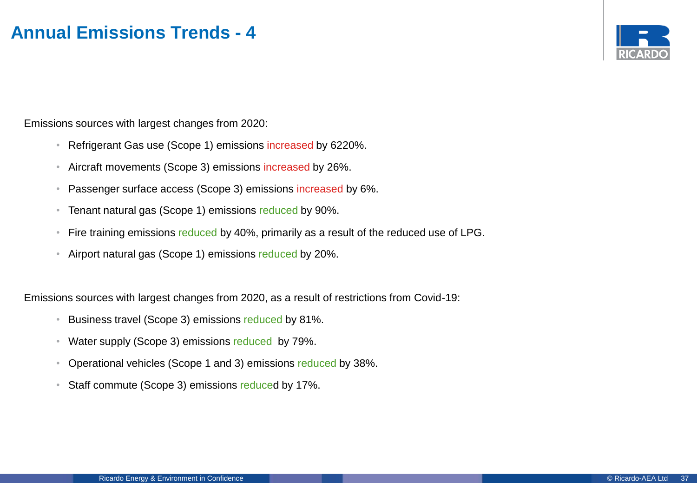

Emissions sources with largest changes from 2020:

- Refrigerant Gas use (Scope 1) emissions increased by 6220%.
- Aircraft movements (Scope 3) emissions increased by 26%.
- Passenger surface access (Scope 3) emissions increased by 6%.
- Tenant natural gas (Scope 1) emissions reduced by 90%.
- Fire training emissions reduced by 40%, primarily as a result of the reduced use of LPG.
- Airport natural gas (Scope 1) emissions reduced by 20%.

Emissions sources with largest changes from 2020, as a result of restrictions from Covid-19:

- Business travel (Scope 3) emissions reduced by 81%.
- Water supply (Scope 3) emissions reduced by 79%.
- Operational vehicles (Scope 1 and 3) emissions reduced by 38%.
- Staff commute (Scope 3) emissions reduced by 17%.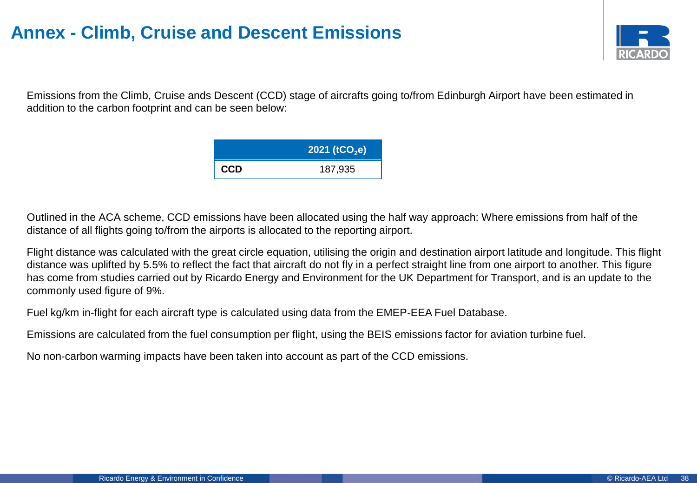# **Annex - Climb, Cruise and Descent Emissions**



Emissions from the Climb, Cruise ands Descent (CCD) stage of aircrafts going to/from Edinburgh Airport have been estimated in addition to the carbon footprint and can be seen below:

|            | 2021 ( $tCO2e$ ) |
|------------|------------------|
| <b>CCD</b> | 187,935          |

Outlined in the ACA scheme, CCD emissions have been allocated using the half way approach: Where emissions from half of the distance of all flights going to/from the airports is allocated to the reporting airport.

Flight distance was calculated with the great circle equation, utilising the origin and destination airport latitude and longitude. This flight distance was uplifted by 5.5% to reflect the fact that aircraft do not fly in a perfect straight line from one airport to another. This figure has come from studies carried out by Ricardo Energy and Environment for the UK Department for Transport, and is an update to the commonly used figure of 9%.

Fuel kg/km in-flight for each aircraft type is calculated using data from the EMEP-EEA Fuel Database.

Emissions are calculated from the fuel consumption per flight, using the BEIS emissions factor for aviation turbine fuel.

No non-carbon warming impacts have been taken into account as part of the CCD emissions.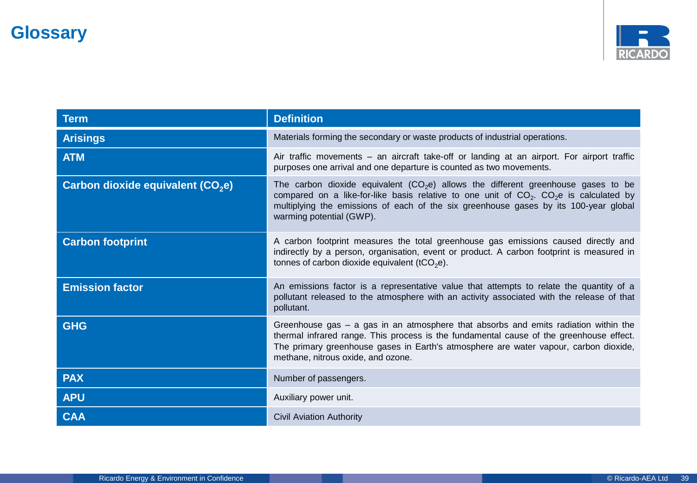

| <b>Term</b>                                   | <b>Definition</b>                                                                                                                                                                                                                                                                                              |
|-----------------------------------------------|----------------------------------------------------------------------------------------------------------------------------------------------------------------------------------------------------------------------------------------------------------------------------------------------------------------|
| <b>Arisings</b>                               | Materials forming the secondary or waste products of industrial operations.                                                                                                                                                                                                                                    |
| <b>ATM</b>                                    | Air traffic movements – an aircraft take-off or landing at an airport. For airport traffic<br>purposes one arrival and one departure is counted as two movements.                                                                                                                                              |
| Carbon dioxide equivalent (CO <sub>2</sub> e) | The carbon dioxide equivalent ( $CO2e$ ) allows the different greenhouse gases to be<br>compared on a like-for-like basis relative to one unit of $CO2$ . $CO2$ is calculated by<br>multiplying the emissions of each of the six greenhouse gases by its 100-year global<br>warming potential (GWP).           |
| <b>Carbon footprint</b>                       | A carbon footprint measures the total greenhouse gas emissions caused directly and<br>indirectly by a person, organisation, event or product. A carbon footprint is measured in<br>tonnes of carbon dioxide equivalent (tCO <sub>2</sub> e).                                                                   |
| <b>Emission factor</b>                        | An emissions factor is a representative value that attempts to relate the quantity of a<br>pollutant released to the atmosphere with an activity associated with the release of that<br>pollutant.                                                                                                             |
| <b>GHG</b>                                    | Greenhouse gas $-$ a gas in an atmosphere that absorbs and emits radiation within the<br>thermal infrared range. This process is the fundamental cause of the greenhouse effect.<br>The primary greenhouse gases in Earth's atmosphere are water vapour, carbon dioxide,<br>methane, nitrous oxide, and ozone. |
| <b>PAX</b>                                    | Number of passengers.                                                                                                                                                                                                                                                                                          |
| <b>APU</b>                                    | Auxiliary power unit.                                                                                                                                                                                                                                                                                          |
| <b>CAA</b>                                    | <b>Civil Aviation Authority</b>                                                                                                                                                                                                                                                                                |